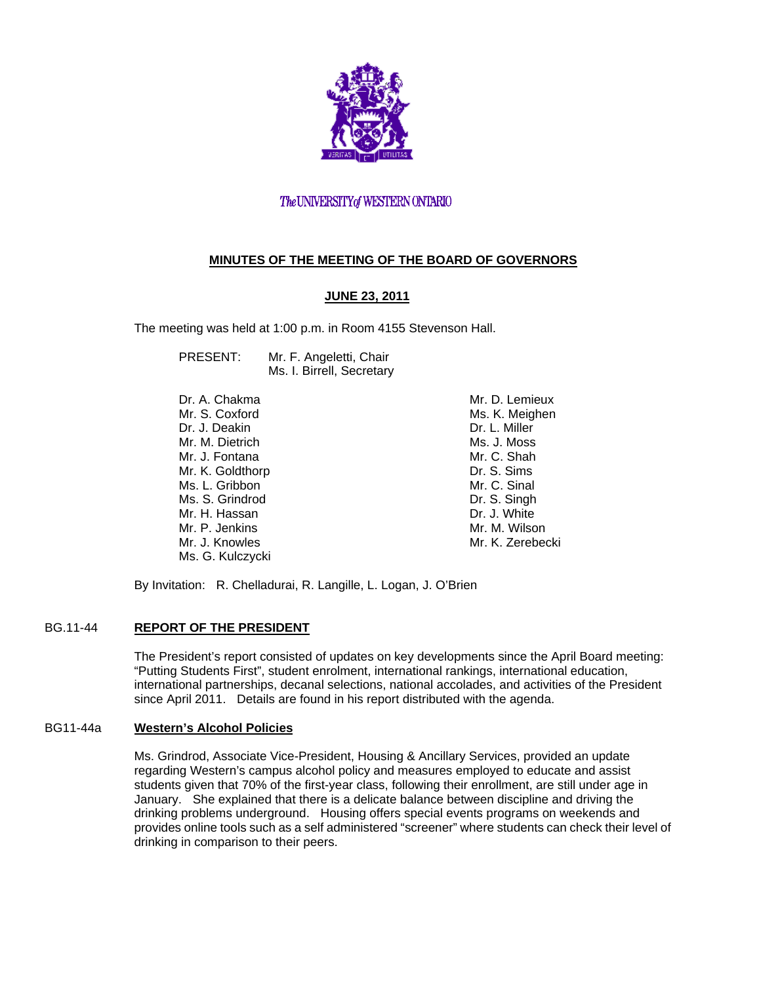

# The UNIVERSITY of WESTERN ONTARIO

# **MINUTES OF THE MEETING OF THE BOARD OF GOVERNORS**

# **JUNE 23, 2011**

The meeting was held at 1:00 p.m. in Room 4155 Stevenson Hall.

PRESENT: Mr. F. Angeletti, Chair Ms. I. Birrell, Secretary

Dr. A. Chakma Mr. S. Coxford Dr. J. Deakin Mr. M. Dietrich Mr. J. Fontana Mr. K. Goldthorp Ms. L. Gribbon Ms. S. Grindrod Mr. H. Hassan Mr. P. Jenkins Mr. J. Knowles Ms. G. Kulczycki

Mr. D. Lemieux Ms. K. Meighen Dr. L. Miller Ms. J. Moss Mr. C. Shah Dr. S. Sims Mr. C. Sinal Dr. S. Singh Dr. J. White Mr. M. Wilson Mr. K. Zerebecki

By Invitation: R. Chelladurai, R. Langille, L. Logan, J. O'Brien

## BG.11-44 **REPORT OF THE PRESIDENT**

The President's report consisted of updates on key developments since the April Board meeting: "Putting Students First", student enrolment, international rankings, international education, international partnerships, decanal selections, national accolades, and activities of the President since April 2011. Details are found in his report distributed with the agenda.

#### BG11-44a **Western's Alcohol Policies**

Ms. Grindrod, Associate Vice-President, Housing & Ancillary Services, provided an update regarding Western's campus alcohol policy and measures employed to educate and assist students given that 70% of the first-year class, following their enrollment, are still under age in January. She explained that there is a delicate balance between discipline and driving the drinking problems underground. Housing offers special events programs on weekends and provides online tools such as a self administered "screener" where students can check their level of drinking in comparison to their peers.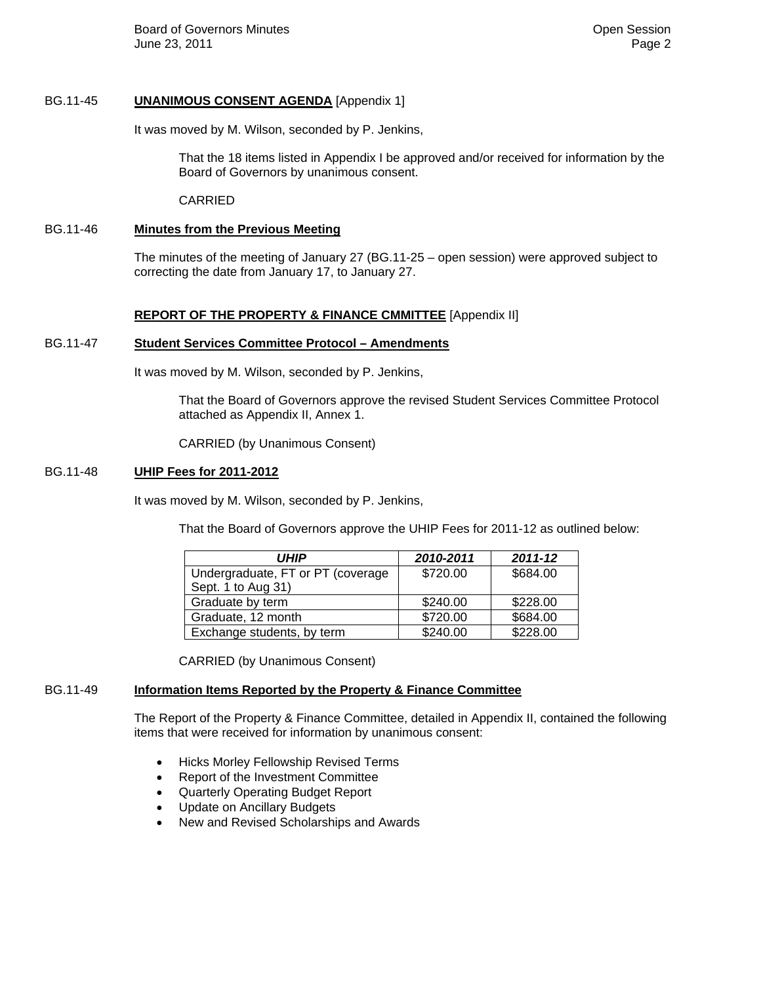**Board of Governors Minutes Contract Contract Contract Contract Contract Contract Contract Contract Contract Contract Contract Contract Contract Contract Contract Contract Contract Contract Contract Contract Contract Co** June 23, 2011 Page 2

### BG.11-45 **UNANIMOUS CONSENT AGENDA** [Appendix 1]

It was moved by M. Wilson, seconded by P. Jenkins,

That the 18 items listed in Appendix I be approved and/or received for information by the Board of Governors by unanimous consent.

CARRIED

### BG.11-46 **Minutes from the Previous Meeting**

The minutes of the meeting of January 27 (BG.11-25 – open session) were approved subject to correcting the date from January 17, to January 27.

### **REPORT OF THE PROPERTY & FINANCE CMMITTEE** [Appendix II]

#### BG.11-47 **Student Services Committee Protocol – Amendments**

It was moved by M. Wilson, seconded by P. Jenkins,

That the Board of Governors approve the revised Student Services Committee Protocol attached as Appendix II, Annex 1.

CARRIED (by Unanimous Consent)

### BG.11-48 **UHIP Fees for 2011-2012**

It was moved by M. Wilson, seconded by P. Jenkins,

That the Board of Governors approve the UHIP Fees for 2011-12 as outlined below:

| <i><b>UHIP</b></i>                | 2010-2011 | 2011-12  |
|-----------------------------------|-----------|----------|
| Undergraduate, FT or PT (coverage | \$720.00  | \$684.00 |
| Sept. 1 to Aug 31)                |           |          |
| Graduate by term                  | \$240.00  | \$228.00 |
| Graduate, 12 month                | \$720.00  | \$684.00 |
| Exchange students, by term        | \$240.00  | \$228.00 |

CARRIED (by Unanimous Consent)

## BG.11-49 **Information Items Reported by the Property & Finance Committee**

The Report of the Property & Finance Committee, detailed in Appendix II, contained the following items that were received for information by unanimous consent:

- Hicks Morley Fellowship Revised Terms
- Report of the Investment Committee
- Quarterly Operating Budget Report
- Update on Ancillary Budgets
- New and Revised Scholarships and Awards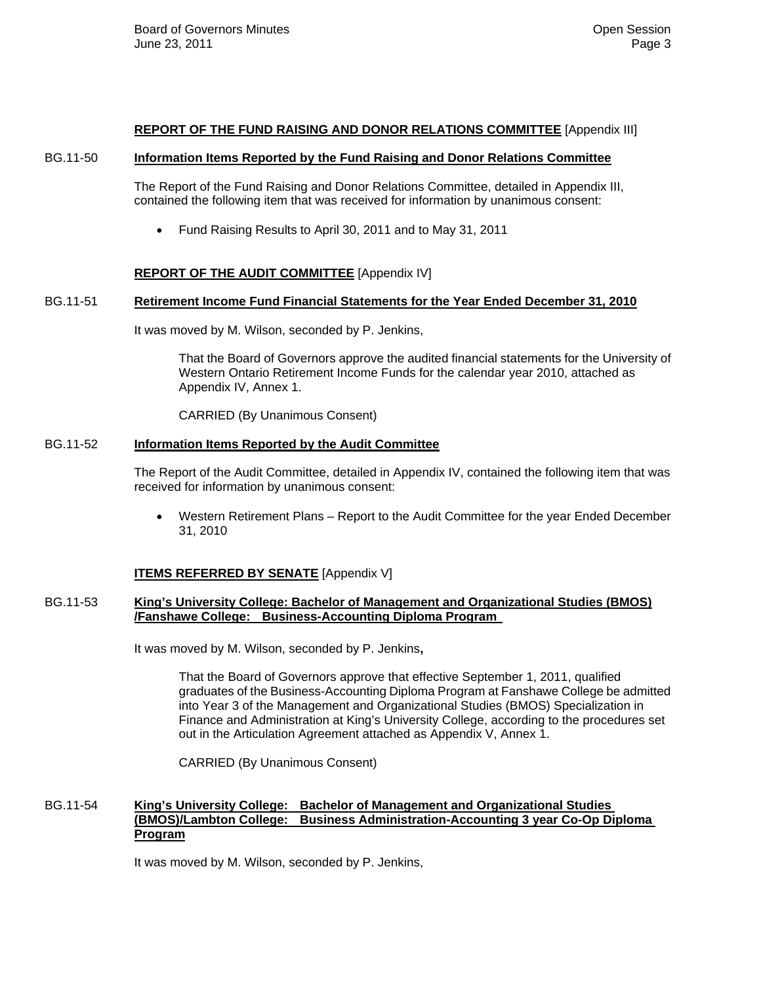### **REPORT OF THE FUND RAISING AND DONOR RELATIONS COMMITTEE** [Appendix III]

#### BG.11-50 **Information Items Reported by the Fund Raising and Donor Relations Committee**

The Report of the Fund Raising and Donor Relations Committee, detailed in Appendix III, contained the following item that was received for information by unanimous consent:

Fund Raising Results to April 30, 2011 and to May 31, 2011

## **REPORT OF THE AUDIT COMMITTEE** [Appendix IV]

### BG.11-51 **Retirement Income Fund Financial Statements for the Year Ended December 31, 2010**

It was moved by M. Wilson, seconded by P. Jenkins,

That the Board of Governors approve the audited financial statements for the University of Western Ontario Retirement Income Funds for the calendar year 2010, attached as Appendix IV, Annex 1.

CARRIED (By Unanimous Consent)

## BG.11-52 **Information Items Reported by the Audit Committee**

The Report of the Audit Committee, detailed in Appendix IV, contained the following item that was received for information by unanimous consent:

 Western Retirement Plans – Report to the Audit Committee for the year Ended December 31, 2010

## **ITEMS REFERRED BY SENATE** [Appendix V]

### BG.11-53 **King's University College: Bachelor of Management and Organizational Studies (BMOS) /Fanshawe College: Business-Accounting Diploma Program**

It was moved by M. Wilson, seconded by P. Jenkins**,** 

 That the Board of Governors approve that effective September 1, 2011, qualified graduates of the Business-Accounting Diploma Program at Fanshawe College be admitted into Year 3 of the Management and Organizational Studies (BMOS) Specialization in Finance and Administration at King's University College, according to the procedures set out in the Articulation Agreement attached as Appendix V, Annex 1.

CARRIED (By Unanimous Consent)

## BG.11-54 **King's University College: Bachelor of Management and Organizational Studies (BMOS)/Lambton College: Business Administration-Accounting 3 year Co-Op Diploma Program**

It was moved by M. Wilson, seconded by P. Jenkins,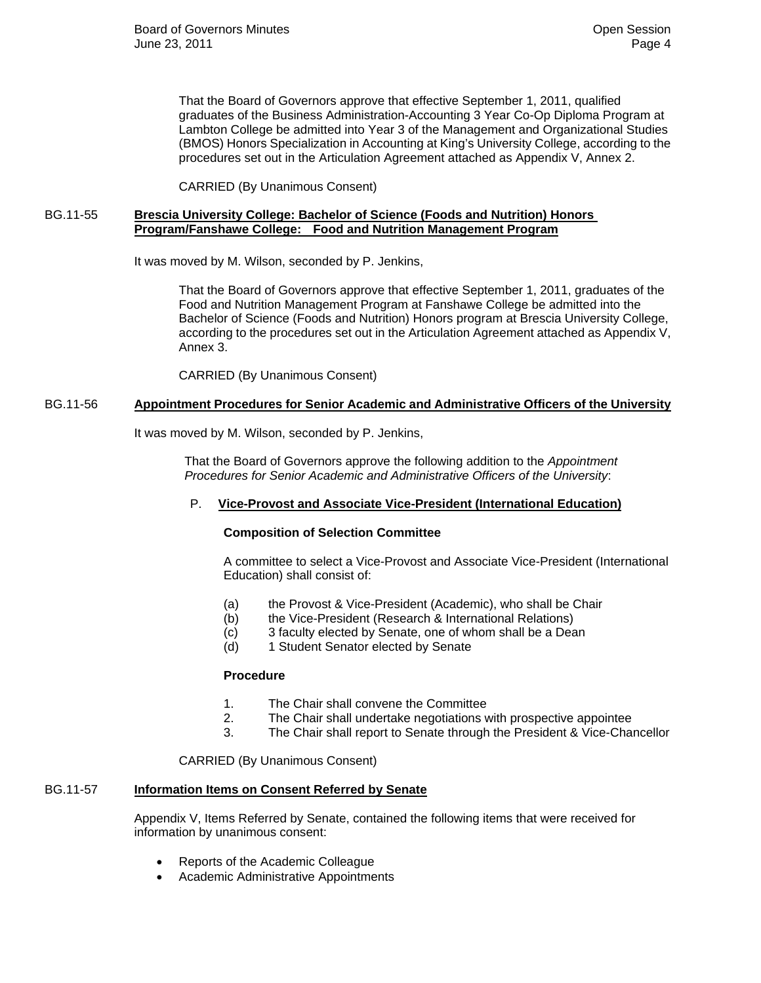That the Board of Governors approve that effective September 1, 2011, qualified graduates of the Business Administration-Accounting 3 Year Co-Op Diploma Program at Lambton College be admitted into Year 3 of the Management and Organizational Studies (BMOS) Honors Specialization in Accounting at King's University College, according to the procedures set out in the Articulation Agreement attached as Appendix V, Annex 2.

CARRIED (By Unanimous Consent)

## BG.11-55 **Brescia University College: Bachelor of Science (Foods and Nutrition) Honors Program/Fanshawe College: Food and Nutrition Management Program**

It was moved by M. Wilson, seconded by P. Jenkins,

 That the Board of Governors approve that effective September 1, 2011, graduates of the Food and Nutrition Management Program at Fanshawe College be admitted into the Bachelor of Science (Foods and Nutrition) Honors program at Brescia University College, according to the procedures set out in the Articulation Agreement attached as Appendix V, Annex 3.

CARRIED (By Unanimous Consent)

## BG.11-56 **Appointment Procedures for Senior Academic and Administrative Officers of the University**

It was moved by M. Wilson, seconded by P. Jenkins,

 That the Board of Governors approve the following addition to the *Appointment Procedures for Senior Academic and Administrative Officers of the University*:

## P. **Vice-Provost and Associate Vice-President (International Education)**

#### **Composition of Selection Committee**

A committee to select a Vice-Provost and Associate Vice-President (International Education) shall consist of:

- (a) the Provost & Vice-President (Academic), who shall be Chair
- (b) the Vice-President (Research & International Relations)
- (c) 3 faculty elected by Senate, one of whom shall be a Dean
- (d) 1 Student Senator elected by Senate

## **Procedure**

- 1. The Chair shall convene the Committee
- 2. The Chair shall undertake negotiations with prospective appointee
- 3. The Chair shall report to Senate through the President & Vice-Chancellor

CARRIED (By Unanimous Consent)

# BG.11-57 **Information Items on Consent Referred by Senate**

Appendix V, Items Referred by Senate, contained the following items that were received for information by unanimous consent:

- Reports of the Academic Colleague
- Academic Administrative Appointments